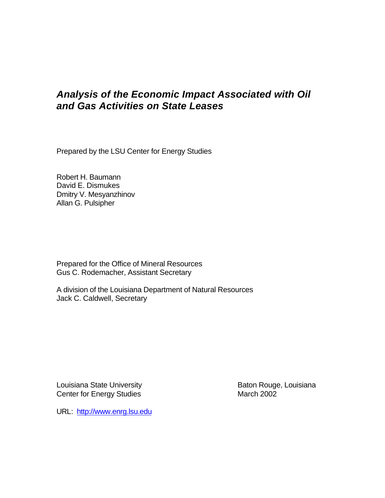# *Analysis of the Economic Impact Associated with Oil and Gas Activities on State Leases*

Prepared by the LSU Center for Energy Studies

Robert H. Baumann David E. Dismukes Dmitry V. Mesyanzhinov Allan G. Pulsipher

Prepared for the Office of Mineral Resources Gus C. Rodemacher, Assistant Secretary

A division of the Louisiana Department of Natural Resources Jack C. Caldwell, Secretary

Louisiana State University **Baton Rouge, Louisiana** Center for Energy Studies March 2002

URL: http://www.enrg.lsu.edu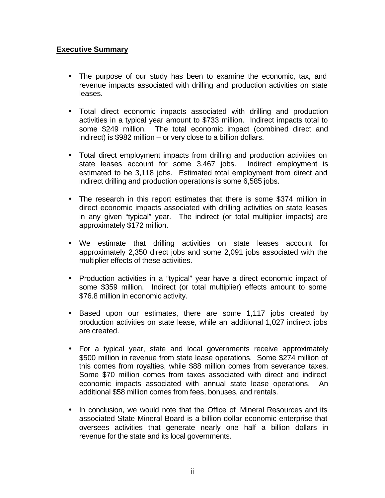#### **Executive Summary**

- The purpose of our study has been to examine the economic, tax, and revenue impacts associated with drilling and production activities on state leases.
- Total direct economic impacts associated with drilling and production activities in a typical year amount to \$733 million. Indirect impacts total to some \$249 million. The total economic impact (combined direct and indirect) is \$982 million – or very close to a billion dollars.
- Total direct employment impacts from drilling and production activities on state leases account for some 3,467 jobs. Indirect employment is estimated to be 3,118 jobs. Estimated total employment from direct and indirect drilling and production operations is some 6,585 jobs.
- The research in this report estimates that there is some \$374 million in direct economic impacts associated with drilling activities on state leases in any given "typical" year. The indirect (or total multiplier impacts) are approximately \$172 million.
- We estimate that drilling activities on state leases account for approximately 2,350 direct jobs and some 2,091 jobs associated with the multiplier effects of these activities.
- Production activities in a "typical" year have a direct economic impact of some \$359 million. Indirect (or total multiplier) effects amount to some \$76.8 million in economic activity.
- Based upon our estimates, there are some 1,117 jobs created by production activities on state lease, while an additional 1,027 indirect jobs are created.
- For a typical year, state and local governments receive approximately \$500 million in revenue from state lease operations. Some \$274 million of this comes from royalties, while \$88 million comes from severance taxes. Some \$70 million comes from taxes associated with direct and indirect economic impacts associated with annual state lease operations. An additional \$58 million comes from fees, bonuses, and rentals.
- In conclusion, we would note that the Office of Mineral Resources and its associated State Mineral Board is a billion dollar economic enterprise that oversees activities that generate nearly one half a billion dollars in revenue for the state and its local governments.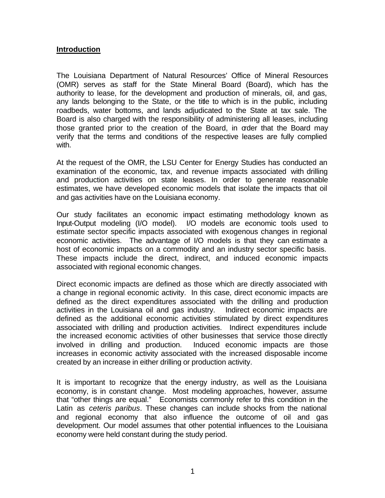#### **Introduction**

The Louisiana Department of Natural Resources' Office of Mineral Resources (OMR) serves as staff for the State Mineral Board (Board), which has the authority to lease, for the development and production of minerals, oil, and gas, any lands belonging to the State, or the title to which is in the public, including roadbeds, water bottoms, and lands adjudicated to the State at tax sale. The Board is also charged with the responsibility of administering all leases, including those granted prior to the creation of the Board, in order that the Board may verify that the terms and conditions of the respective leases are fully complied with.

At the request of the OMR, the LSU Center for Energy Studies has conducted an examination of the economic, tax, and revenue impacts associated with drilling and production activities on state leases. In order to generate reasonable estimates, we have developed economic models that isolate the impacts that oil and gas activities have on the Louisiana economy.

Our study facilitates an economic impact estimating methodology known as Input-Output modeling (I/O model). I/O models are economic tools used to estimate sector specific impacts associated with exogenous changes in regional economic activities. The advantage of I/O models is that they can estimate a host of economic impacts on a commodity and an industry sector specific basis. These impacts include the direct, indirect, and induced economic impacts associated with regional economic changes.

Direct economic impacts are defined as those which are directly associated with a change in regional economic activity. In this case, direct economic impacts are defined as the direct expenditures associated with the drilling and production activities in the Louisiana oil and gas industry. Indirect economic impacts are defined as the additional economic activities stimulated by direct expenditures associated with drilling and production activities. Indirect expenditures include the increased economic activities of other businesses that service those directly involved in drilling and production. Induced economic impacts are those increases in economic activity associated with the increased disposable income created by an increase in either drilling or production activity.

It is important to recognize that the energy industry, as well as the Louisiana economy, is in constant change. Most modeling approaches, however, assume that "other things are equal." Economists commonly refer to this condition in the Latin as *ceteris paribus*. These changes can include shocks from the national and regional economy that also influence the outcome of oil and gas development. Our model assumes that other potential influences to the Louisiana economy were held constant during the study period.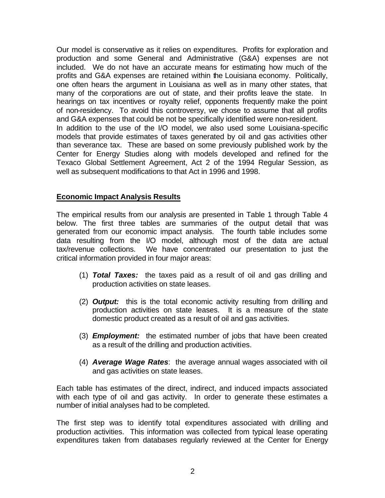Our model is conservative as it relies on expenditures. Profits for exploration and production and some General and Administrative (G&A) expenses are not included. We do not have an accurate means for estimating how much of the profits and G&A expenses are retained within the Louisiana economy. Politically, one often hears the argument in Louisiana as well as in many other states, that many of the corporations are out of state, and their profits leave the state. In hearings on tax incentives or royalty relief, opponents frequently make the point of non-residency. To avoid this controversy, we chose to assume that all profits and G&A expenses that could be not be specifically identified were non-resident. In addition to the use of the I/O model, we also used some Louisiana-specific models that provide estimates of taxes generated by oil and gas activities other than severance tax. These are based on some previously published work by the Center for Energy Studies along with models developed and refined for the Texaco Global Settlement Agreement, Act 2 of the 1994 Regular Session, as well as subsequent modifications to that Act in 1996 and 1998.

# **Economic Impact Analysis Results**

The empirical results from our analysis are presented in Table 1 through Table 4 below. The first three tables are summaries of the output detail that was generated from our economic impact analysis. The fourth table includes some data resulting from the I/O model, although most of the data are actual tax/revenue collections. We have concentrated our presentation to just the critical information provided in four major areas:

- (1) *Total Taxes:* the taxes paid as a result of oil and gas drilling and production activities on state leases.
- (2) *Output:* this is the total economic activity resulting from drilling and production activities on state leases. It is a measure of the state domestic product created as a result of oil and gas activities.
- (3) *Employment:* the estimated number of jobs that have been created as a result of the drilling and production activities.
- (4) *Average Wage Rates*: the average annual wages associated with oil and gas activities on state leases.

Each table has estimates of the direct, indirect, and induced impacts associated with each type of oil and gas activity. In order to generate these estimates a number of initial analyses had to be completed.

The first step was to identify total expenditures associated with drilling and production activities. This information was collected from typical lease operating expenditures taken from databases regularly reviewed at the Center for Energy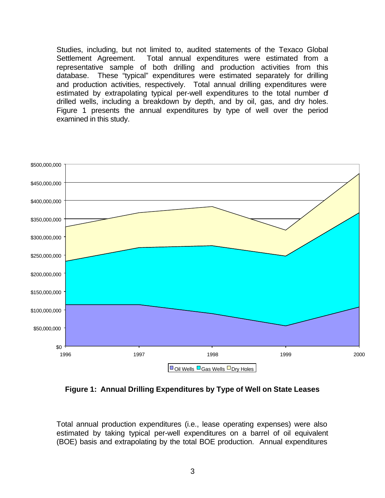Studies, including, but not limited to, audited statements of the Texaco Global Settlement Agreement. Total annual expenditures were estimated from a representative sample of both drilling and production activities from this database. These "typical" expenditures were estimated separately for drilling and production activities, respectively. Total annual drilling expenditures were estimated by extrapolating typical per-well expenditures to the total number of drilled wells, including a breakdown by depth, and by oil, gas, and dry holes. Figure 1 presents the annual expenditures by type of well over the period examined in this study.



**Figure 1: Annual Drilling Expenditures by Type of Well on State Leases**

Total annual production expenditures (i.e., lease operating expenses) were also estimated by taking typical per-well expenditures on a barrel of oil equivalent (BOE) basis and extrapolating by the total BOE production. Annual expenditures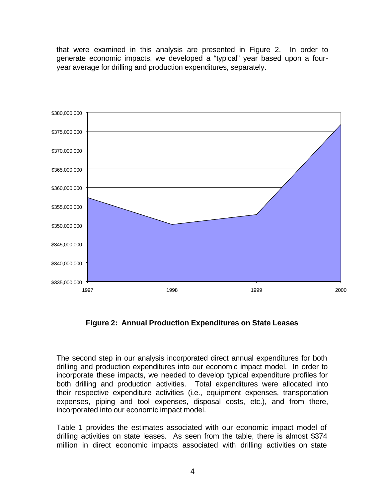that were examined in this analysis are presented in Figure 2. In order to generate economic impacts, we developed a "typical" year based upon a fouryear average for drilling and production expenditures, separately.



**Figure 2: Annual Production Expenditures on State Leases**

The second step in our analysis incorporated direct annual expenditures for both drilling and production expenditures into our economic impact model. In order to incorporate these impacts, we needed to develop typical expenditure profiles for both drilling and production activities. Total expenditures were allocated into their respective expenditure activities (i.e., equipment expenses, transportation expenses, piping and tool expenses, disposal costs, etc.), and from there, incorporated into our economic impact model.

Table 1 provides the estimates associated with our economic impact model of drilling activities on state leases. As seen from the table, there is almost \$374 million in direct economic impacts associated with drilling activities on state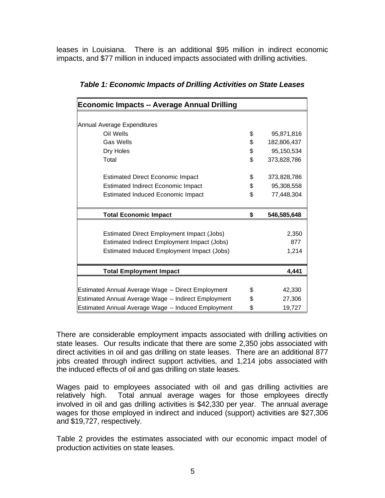leases in Louisiana. There is an additional \$95 million in indirect economic impacts, and \$77 million in induced impacts associated with drilling activities.

| <b>Economic Impacts -- Average Annual Drilling</b>   |    |             |
|------------------------------------------------------|----|-------------|
|                                                      |    |             |
| Annual Average Expenditures                          |    |             |
| Oil Wells                                            | \$ | 95,871,816  |
| <b>Gas Wells</b>                                     | \$ | 182,806,437 |
| Dry Holes                                            | \$ | 95,150,534  |
| Total                                                | \$ | 373,828,786 |
| <b>Estimated Direct Economic Impact</b>              | \$ | 373,828,786 |
| <b>Estimated Indirect Economic Impact</b>            | \$ | 95,308,558  |
| <b>Estimated Induced Economic Impact</b>             | \$ | 77,448,304  |
| <b>Total Economic Impact</b>                         | \$ | 546,585,648 |
|                                                      |    |             |
| Estimated Direct Employment Impact (Jobs)            |    | 2,350       |
| Estimated Indirect Employment Impact (Jobs)          |    | 877         |
| Estimated Induced Employment Impact (Jobs)           |    | 1,214       |
| <b>Total Employment Impact</b>                       |    | 4,441       |
|                                                      |    |             |
| Estimated Annual Average Wage -- Direct Employment   | \$ | 42,330      |
| Estimated Annual Average Wage -- Indirect Employment | \$ | 27,306      |
| Estimated Annual Average Wage -- Induced Employment  | \$ | 19,727      |

There are considerable employment impacts associated with drilling activities on state leases. Our results indicate that there are some 2,350 jobs associated with direct activities in oil and gas drilling on state leases. There are an additional 877 jobs created through indirect support activities, and 1,214 jobs associated with the induced effects of oil and gas drilling on state leases.

Wages paid to employees associated with oil and gas drilling activities are relatively high. Total annual average wages for those employees directly involved in oil and gas drilling activities is \$42,330 per year. The annual average wages for those employed in indirect and induced (support) activities are \$27,306 and \$19,727, respectively.

Table 2 provides the estimates associated with our economic impact model of production activities on state leases.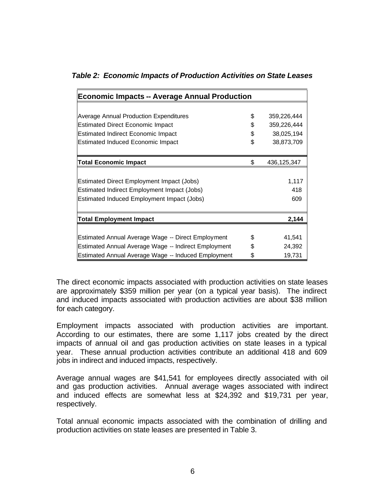|  |  |  | Table 2: Economic Impacts of Production Activities on State Leases |
|--|--|--|--------------------------------------------------------------------|
|--|--|--|--------------------------------------------------------------------|

| <b>Economic Impacts -- Average Annual Production</b> |    |               |  |
|------------------------------------------------------|----|---------------|--|
|                                                      |    |               |  |
| Average Annual Production Expenditures               | \$ | 359,226,444   |  |
| <b>Estimated Direct Economic Impact</b>              | \$ | 359,226,444   |  |
| <b>Estimated Indirect Economic Impact</b>            | \$ | 38,025,194    |  |
| <b>Estimated Induced Economic Impact</b>             |    | 38,873,709    |  |
|                                                      |    |               |  |
| <b>Total Economic Impact</b>                         | \$ | 436, 125, 347 |  |
|                                                      |    |               |  |
| <b>Estimated Direct Employment Impact (Jobs)</b>     |    | 1,117         |  |
| Estimated Indirect Employment Impact (Jobs)          |    | 418           |  |
| Estimated Induced Employment Impact (Jobs)           |    | 609           |  |
|                                                      |    |               |  |
| <b>Total Employment Impact</b>                       |    | 2,144         |  |
|                                                      |    |               |  |
| Estimated Annual Average Wage -- Direct Employment   | \$ | 41,541        |  |
| Estimated Annual Average Wage -- Indirect Employment |    | 24,392        |  |
| Estimated Annual Average Wage -- Induced Employment  | \$ | 19,731        |  |

The direct economic impacts associated with production activities on state leases are approximately \$359 million per year (on a typical year basis). The indirect and induced impacts associated with production activities are about \$38 million for each category.

Employment impacts associated with production activities are important. According to our estimates, there are some 1,117 jobs created by the direct impacts of annual oil and gas production activities on state leases in a typical year. These annual production activities contribute an additional 418 and 609 jobs in indirect and induced impacts, respectively.

Average annual wages are \$41,541 for employees directly associated with oil and gas production activities. Annual average wages associated with indirect and induced effects are somewhat less at \$24,392 and \$19,731 per year, respectively.

Total annual economic impacts associated with the combination of drilling and production activities on state leases are presented in Table 3.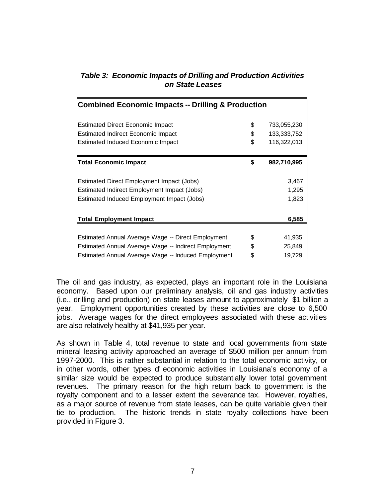| <b>Table 3: Economic Impacts of Drilling and Production Activities</b> |
|------------------------------------------------------------------------|
| on State Leases                                                        |

| <b>Combined Economic Impacts -- Drilling &amp; Production</b> |    |             |  |
|---------------------------------------------------------------|----|-------------|--|
|                                                               |    |             |  |
| <b>Estimated Direct Economic Impact</b>                       | \$ | 733,055,230 |  |
| <b>Estimated Indirect Economic Impact</b>                     | \$ | 133,333,752 |  |
| <b>Estimated Induced Economic Impact</b>                      | \$ | 116,322,013 |  |
| <b>Total Economic Impact</b>                                  | \$ | 982,710,995 |  |
|                                                               |    |             |  |
| Estimated Direct Employment Impact (Jobs)                     |    | 3,467       |  |
| Estimated Indirect Employment Impact (Jobs)                   |    | 1,295       |  |
| Estimated Induced Employment Impact (Jobs)                    |    | 1,823       |  |
|                                                               |    |             |  |
| 6,585<br><b>Total Employment Impact</b>                       |    |             |  |
|                                                               |    |             |  |
| Estimated Annual Average Wage -- Direct Employment            | \$ | 41,935      |  |
| \$<br>Estimated Annual Average Wage -- Indirect Employment    |    | 25,849      |  |
| Estimated Annual Average Wage -- Induced Employment           | S  | 19,729      |  |

The oil and gas industry, as expected, plays an important role in the Louisiana economy. Based upon our preliminary analysis, oil and gas industry activities (i.e., drilling and production) on state leases amount to approximately \$1 billion a year. Employment opportunities created by these activities are close to 6,500 jobs. Average wages for the direct employees associated with these activities are also relatively healthy at \$41,935 per year.

As shown in Table 4, total revenue to state and local governments from state mineral leasing activity approached an average of \$500 million per annum from 1997-2000. This is rather substantial in relation to the total economic activity, or in other words, other types of economic activities in Louisiana's economy of a similar size would be expected to produce substantially lower total government revenues. The primary reason for the high return back to government is the royalty component and to a lesser extent the severance tax. However, royalties, as a major source of revenue from state leases, can be quite variable given their tie to production. The historic trends in state royalty collections have been provided in Figure 3.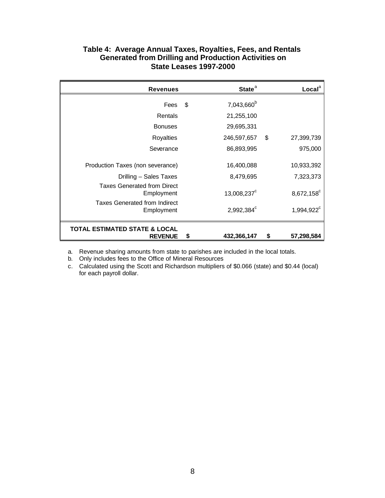## **Table 4: Average Annual Taxes, Royalties, Fees, and Rentals Generated from Drilling and Production Activities on State Leases 1997-2000**

| <b>Revenues</b>                                    | State <sup>a</sup>           |     | Local <sup>a</sup>     |
|----------------------------------------------------|------------------------------|-----|------------------------|
| Fees                                               | \$<br>7,043,660 <sup>b</sup> |     |                        |
| Rentals                                            | 21,255,100                   |     |                        |
| <b>Bonuses</b>                                     | 29,695,331                   |     |                        |
| <b>Royalties</b>                                   | 246,597,657                  | -\$ | 27,399,739             |
| Severance                                          | 86,893,995                   |     | 975,000                |
| Production Taxes (non severance)                   | 16,400,088                   |     | 10,933,392             |
| Drilling - Sales Taxes                             | 8,479,695                    |     | 7,323,373              |
| <b>Taxes Generated from Direct</b><br>Employment   | 13,008,237 <sup>c</sup>      |     | 8,672,158 <sup>c</sup> |
| <b>Taxes Generated from Indirect</b><br>Employment | 2,992,384 $^{\circ}$         |     | 1,994,922 <sup>c</sup> |
| TOTAL ESTIMATED STATE & LOCAL<br><b>REVENUE</b>    | \$<br>432,366,147            | S   | 57,298,584             |

a. Revenue sharing amounts from state to parishes are included in the local totals.

b. Only includes fees to the Office of Mineral Resources

c. Calculated using the Scott and Richardson multipliers of \$0.066 (state) and \$0.44 (local) for each payroll dollar.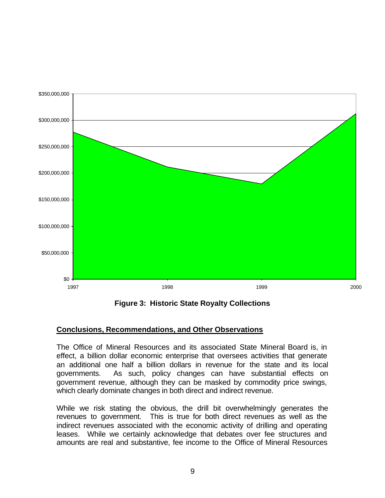

**Figure 3: Historic State Royalty Collections**

#### **Conclusions, Recommendations, and Other Observations**

The Office of Mineral Resources and its associated State Mineral Board is, in effect, a billion dollar economic enterprise that oversees activities that generate an additional one half a billion dollars in revenue for the state and its local governments. As such, policy changes can have substantial effects on government revenue, although they can be masked by commodity price swings, which clearly dominate changes in both direct and indirect revenue.

While we risk stating the obvious, the drill bit overwhelmingly generates the revenues to government. This is true for both direct revenues as well as the indirect revenues associated with the economic activity of drilling and operating leases. While we certainly acknowledge that debates over fee structures and amounts are real and substantive, fee income to the Office of Mineral Resources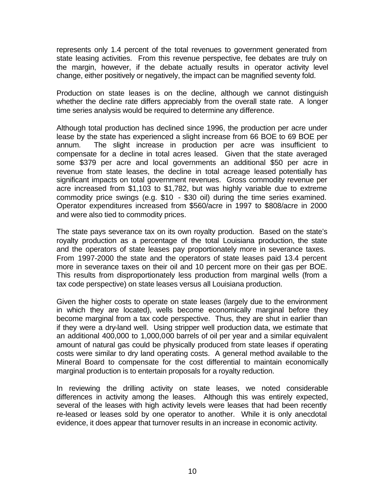represents only 1.4 percent of the total revenues to government generated from state leasing activities. From this revenue perspective, fee debates are truly on the margin, however, if the debate actually results in operator activity level change, either positively or negatively, the impact can be magnified seventy fold.

Production on state leases is on the decline, although we cannot distinguish whether the decline rate differs appreciably from the overall state rate. A longer time series analysis would be required to determine any difference.

Although total production has declined since 1996, the production per acre under lease by the state has experienced a slight increase from 66 BOE to 69 BOE per annum. The slight increase in production per acre was insufficient to compensate for a decline in total acres leased. Given that the state averaged some \$379 per acre and local governments an additional \$50 per acre in revenue from state leases, the decline in total acreage leased potentially has significant impacts on total government revenues. Gross commodity revenue per acre increased from \$1,103 to \$1,782, but was highly variable due to extreme commodity price swings (e.g. \$10 - \$30 oil) during the time series examined. Operator expenditures increased from \$560/acre in 1997 to \$808/acre in 2000 and were also tied to commodity prices.

The state pays severance tax on its own royalty production. Based on the state's royalty production as a percentage of the total Louisiana production, the state and the operators of state leases pay proportionately more in severance taxes. From 1997-2000 the state and the operators of state leases paid 13.4 percent more in severance taxes on their oil and 10 percent more on their gas per BOE. This results from disproportionately less production from marginal wells (from a tax code perspective) on state leases versus all Louisiana production.

Given the higher costs to operate on state leases (largely due to the environment in which they are located), wells become economically marginal before they become marginal from a tax code perspective. Thus, they are shut in earlier than if they were a dry-land well. Using stripper well production data, we estimate that an additional 400,000 to 1,000,000 barrels of oil per year and a similar equivalent amount of natural gas could be physically produced from state leases if operating costs were similar to dry land operating costs. A general method available to the Mineral Board to compensate for the cost differential to maintain economically marginal production is to entertain proposals for a royalty reduction.

In reviewing the drilling activity on state leases, we noted considerable differences in activity among the leases. Although this was entirely expected, several of the leases with high activity levels were leases that had been recently re-leased or leases sold by one operator to another. While it is only anecdotal evidence, it does appear that turnover results in an increase in economic activity.